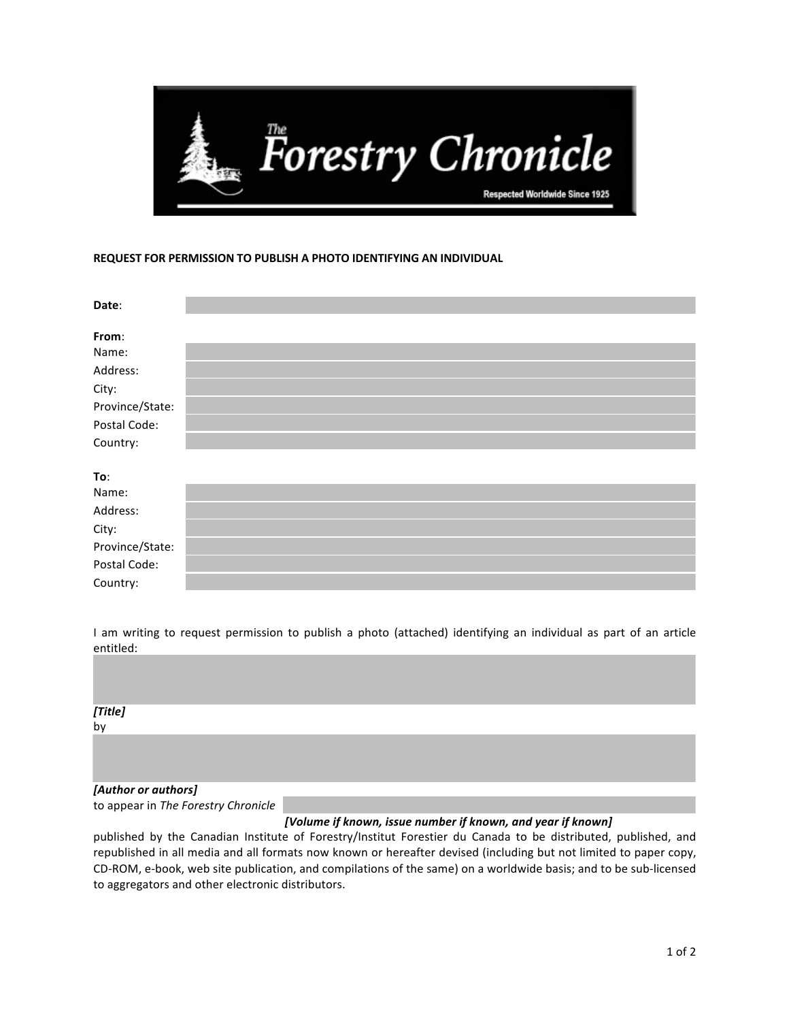

## **REQUEST FOR PERMISSION TO PUBLISH A PHOTO IDENTIFYING AN INDIVIDUAL**

| Date:           |  |
|-----------------|--|
|                 |  |
| From:           |  |
| Name:           |  |
| Address:        |  |
| City:           |  |
| Province/State: |  |
| Postal Code:    |  |
| Country:        |  |
|                 |  |
| To:             |  |
| Name:           |  |
| Address:        |  |

| 11001200        |  |
|-----------------|--|
| City:           |  |
| Province/State: |  |
| Postal Code:    |  |
| Country:        |  |

I am writing to request permission to publish a photo (attached) identifying an individual as part of an article entitled:

| <i>[Title]</i><br>by |  |  |  |
|----------------------|--|--|--|
|                      |  |  |  |
|                      |  |  |  |

## *[Author or authors]*

to appear in *The Forestry Chronicle* 

## *[Volume if known, issue number if known, and year if known]*

published by the Canadian Institute of Forestry/Institut Forestier du Canada to be distributed, published, and republished in all media and all formats now known or hereafter devised (including but not limited to paper copy, CD-ROM, e-book, web site publication, and compilations of the same) on a worldwide basis; and to be sub-licensed to aggregators and other electronic distributors.